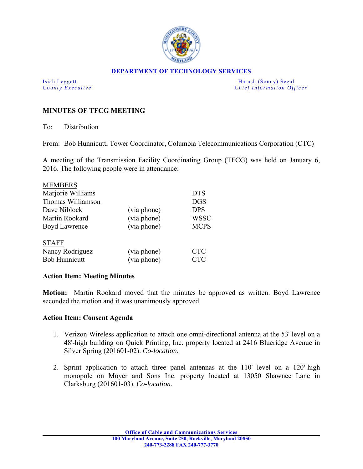

## **DEPARTMENT OF TECHNOLOGY SERVICES**

Isiah Leggett Harash (Sonny) Segal *County Executive* **Country Executive Chief Information Officer** 

## **MINUTES OF TFCG MEETING**

To: Distribution

From: Bob Hunnicutt, Tower Coordinator, Columbia Telecommunications Corporation (CTC)

A meeting of the Transmission Facility Coordinating Group (TFCG) was held on January 6, 2016. The following people were in attendance:

| <b>MEMBERS</b>       |             |             |
|----------------------|-------------|-------------|
| Marjorie Williams    |             | <b>DTS</b>  |
| Thomas Williamson    |             | <b>DGS</b>  |
| Dave Niblock         | (via phone) | <b>DPS</b>  |
| Martin Rookard       | (via phone) | <b>WSSC</b> |
| Boyd Lawrence        | (via phone) | <b>MCPS</b> |
| <b>STAFF</b>         |             |             |
| Nancy Rodriguez      | (via phone) | <b>CTC</b>  |
| <b>Bob Hunnicutt</b> | (via phone) | <b>CTC</b>  |

## **Action Item: Meeting Minutes**

**Motion:** Martin Rookard moved that the minutes be approved as written. Boyd Lawrence seconded the motion and it was unanimously approved.

## **Action Item: Consent Agenda**

- 1. Verizon Wireless application to attach one omni-directional antenna at the 53' level on a 48'-high building on Quick Printing, Inc. property located at 2416 Blueridge Avenue in Silver Spring (201601-02). *Co-location*.
- 2. Sprint application to attach three panel antennas at the 110' level on a 120'-high monopole on Moyer and Sons Inc. property located at 13050 Shawnee Lane in Clarksburg (201601-03). *Co-location*.